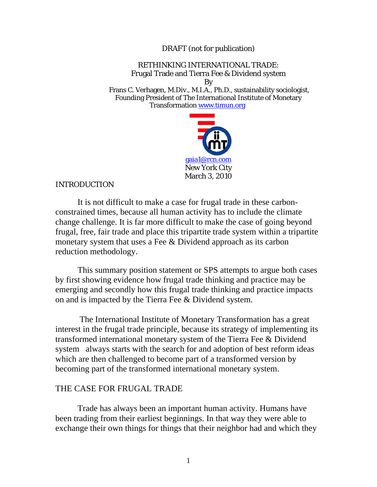DRAFT (not for publication)

### RETHINKING INTERNATIONAL TRADE: Frugal Trade and Tierra Fee & Dividend system By

 Frans C. Verhagen, M.Div., M.I.A., Ph.D., sustainability sociologist, Founding President of The International Institute of Monetary Transformation www.timun.org



#### INTRODUCTION

It is not difficult to make a case for frugal trade in these carbonconstrained times, because all human activity has to include the climate change challenge. It is far more difficult to make the case of going beyond frugal, free, fair trade and place this tripartite trade system within a tripartite monetary system that uses a Fee & Dividend approach as its carbon reduction methodology.

This summary position statement or SPS attempts to argue both cases by first showing evidence how frugal trade thinking and practice may be emerging and secondly how this frugal trade thinking and practice impacts on and is impacted by the Tierra Fee & Dividend system.

 The International Institute of Monetary Transformation has a great interest in the frugal trade principle, because its strategy of implementing its transformed international monetary system of the Tierra Fee & Dividend system always starts with the search for and adoption of best reform ideas which are then challenged to become part of a transformed version by becoming part of the transformed international monetary system.

#### THE CASE FOR FRUGAL TRADE

Trade has always been an important human activity. Humans have been trading from their earliest beginnings. In that way they were able to exchange their own things for things that their neighbor had and which they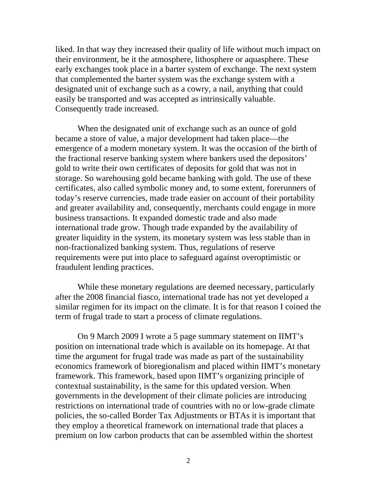liked. In that way they increased their quality of life without much impact on their environment, be it the atmosphere, lithosphere or aquasphere. These early exchanges took place in a barter system of exchange. The next system that complemented the barter system was the exchange system with a designated unit of exchange such as a cowry, a nail, anything that could easily be transported and was accepted as intrinsically valuable. Consequently trade increased.

When the designated unit of exchange such as an ounce of gold became a store of value, a major development had taken place—the emergence of a modern monetary system. It was the occasion of the birth of the fractional reserve banking system where bankers used the depositors' gold to write their own certificates of deposits for gold that was not in storage. So warehousing gold became banking with gold. The use of these certificates, also called symbolic money and, to some extent, forerunners of today's reserve currencies, made trade easier on account of their portability and greater availability and, consequently, merchants could engage in more business transactions. It expanded domestic trade and also made international trade grow. Though trade expanded by the availability of greater liquidity in the system, its monetary system was less stable than in non-fractionalized banking system. Thus, regulations of reserve requirements were put into place to safeguard against overoptimistic or fraudulent lending practices.

 While these monetary regulations are deemed necessary, particularly after the 2008 financial fiasco, international trade has not yet developed a similar regimen for its impact on the climate. It is for that reason I coined the term of frugal trade to start a process of climate regulations.

 On 9 March 2009 I wrote a 5 page summary statement on IIMT's position on international trade which is available on its homepage. At that time the argument for frugal trade was made as part of the sustainability economics framework of bioregionalism and placed within IIMT's monetary framework. This framework, based upon IIMT's organizing principle of contextual sustainability, is the same for this updated version. When governments in the development of their climate policies are introducing restrictions on international trade of countries with no or low-grade climate policies, the so-called Border Tax Adjustments or BTAs it is important that they employ a theoretical framework on international trade that places a premium on low carbon products that can be assembled within the shortest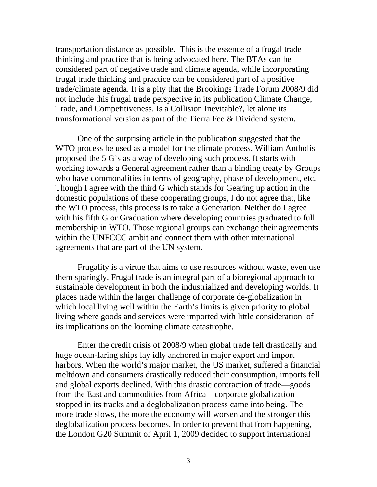transportation distance as possible. This is the essence of a frugal trade thinking and practice that is being advocated here. The BTAs can be considered part of negative trade and climate agenda, while incorporating frugal trade thinking and practice can be considered part of a positive trade/climate agenda. It is a pity that the Brookings Trade Forum 2008/9 did not include this frugal trade perspective in its publication Climate Change, Trade, and Competitiveness. Is a Collision Inevitable?, let alone its transformational version as part of the Tierra Fee & Dividend system.

 One of the surprising article in the publication suggested that the WTO process be used as a model for the climate process. William Antholis proposed the 5 G's as a way of developing such process. It starts with working towards a General agreement rather than a binding treaty by Groups who have commonalities in terms of geography, phase of development, etc. Though I agree with the third G which stands for Gearing up action in the domestic populations of these cooperating groups, I do not agree that, like the WTO process, this process is to take a Generation. Neither do I agree with his fifth G or Graduation where developing countries graduated to full membership in WTO. Those regional groups can exchange their agreements within the UNFCCC ambit and connect them with other international agreements that are part of the UN system.

Frugality is a virtue that aims to use resources without waste, even use them sparingly. Frugal trade is an integral part of a bioregional approach to sustainable development in both the industrialized and developing worlds. It places trade within the larger challenge of corporate de-globalization in which local living well within the Earth's limits is given priority to global living where goods and services were imported with little consideration of its implications on the looming climate catastrophe.

Enter the credit crisis of 2008/9 when global trade fell drastically and huge ocean-faring ships lay idly anchored in major export and import harbors. When the world's major market, the US market, suffered a financial meltdown and consumers drastically reduced their consumption, imports fell and global exports declined. With this drastic contraction of trade—goods from the East and commodities from Africa—corporate globalization stopped in its tracks and a deglobalization process came into being. The more trade slows, the more the economy will worsen and the stronger this deglobalization process becomes. In order to prevent that from happening, the London G20 Summit of April 1, 2009 decided to support international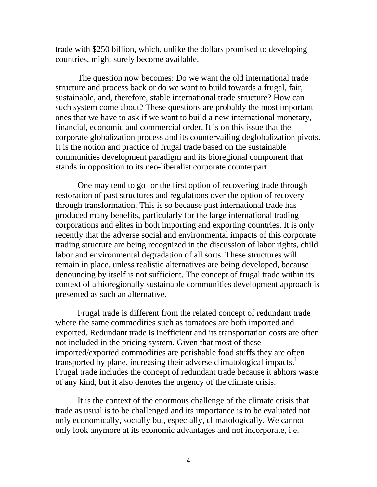trade with \$250 billion, which, unlike the dollars promised to developing countries, might surely become available.

The question now becomes: Do we want the old international trade structure and process back or do we want to build towards a frugal, fair, sustainable, and, therefore, stable international trade structure? How can such system come about? These questions are probably the most important ones that we have to ask if we want to build a new international monetary, financial, economic and commercial order. It is on this issue that the corporate globalization process and its countervailing deglobalization pivots. It is the notion and practice of frugal trade based on the sustainable communities development paradigm and its bioregional component that stands in opposition to its neo-liberalist corporate counterpart.

One may tend to go for the first option of recovering trade through restoration of past structures and regulations over the option of recovery through transformation. This is so because past international trade has produced many benefits, particularly for the large international trading corporations and elites in both importing and exporting countries. It is only recently that the adverse social and environmental impacts of this corporate trading structure are being recognized in the discussion of labor rights, child labor and environmental degradation of all sorts. These structures will remain in place, unless realistic alternatives are being developed, because denouncing by itself is not sufficient. The concept of frugal trade within its context of a bioregionally sustainable communities development approach is presented as such an alternative.

 Frugal trade is different from the related concept of redundant trade where the same commodities such as tomatoes are both imported and exported. Redundant trade is inefficient and its transportation costs are often not included in the pricing system. Given that most of these imported/exported commodities are perishable food stuffs they are often transported by plane, increasing their adverse climatological impacts.<sup>1</sup> Frugal trade includes the concept of redundant trade because it abhors waste of any kind, but it also denotes the urgency of the climate crisis.

It is the context of the enormous challenge of the climate crisis that trade as usual is to be challenged and its importance is to be evaluated not only economically, socially but, especially, climatologically. We cannot only look anymore at its economic advantages and not incorporate, i.e.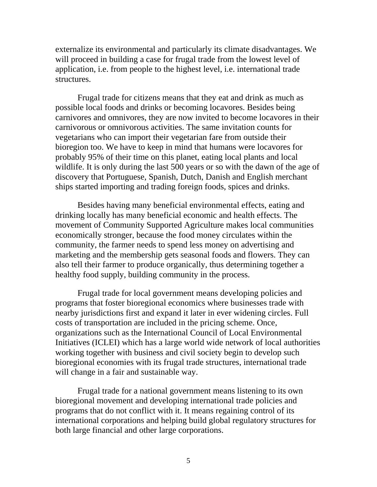externalize its environmental and particularly its climate disadvantages. We will proceed in building a case for frugal trade from the lowest level of application, i.e. from people to the highest level, i.e. international trade structures.

Frugal trade for citizens means that they eat and drink as much as possible local foods and drinks or becoming locavores. Besides being carnivores and omnivores, they are now invited to become locavores in their carnivorous or omnivorous activities. The same invitation counts for vegetarians who can import their vegetarian fare from outside their bioregion too. We have to keep in mind that humans were locavores for probably 95% of their time on this planet, eating local plants and local wildlife. It is only during the last 500 years or so with the dawn of the age of discovery that Portuguese, Spanish, Dutch, Danish and English merchant ships started importing and trading foreign foods, spices and drinks.

Besides having many beneficial environmental effects, eating and drinking locally has many beneficial economic and health effects. The movement of Community Supported Agriculture makes local communities economically stronger, because the food money circulates within the community, the farmer needs to spend less money on advertising and marketing and the membership gets seasonal foods and flowers. They can also tell their farmer to produce organically, thus determining together a healthy food supply, building community in the process.

Frugal trade for local government means developing policies and programs that foster bioregional economics where businesses trade with nearby jurisdictions first and expand it later in ever widening circles. Full costs of transportation are included in the pricing scheme. Once, organizations such as the International Council of Local Environmental Initiatives (ICLEI) which has a large world wide network of local authorities working together with business and civil society begin to develop such bioregional economies with its frugal trade structures, international trade will change in a fair and sustainable way.

Frugal trade for a national government means listening to its own bioregional movement and developing international trade policies and programs that do not conflict with it. It means regaining control of its international corporations and helping build global regulatory structures for both large financial and other large corporations.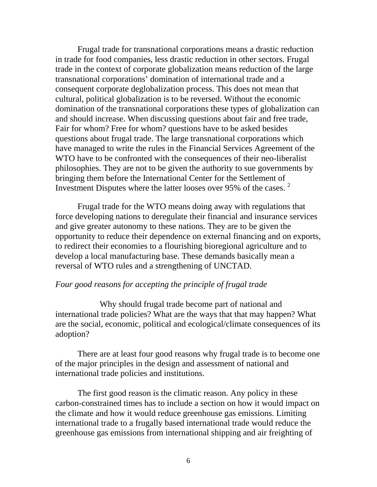Frugal trade for transnational corporations means a drastic reduction in trade for food companies, less drastic reduction in other sectors. Frugal trade in the context of corporate globalization means reduction of the large transnational corporations' domination of international trade and a consequent corporate deglobalization process. This does not mean that cultural, political globalization is to be reversed. Without the economic domination of the transnational corporations these types of globalization can and should increase. When discussing questions about fair and free trade, Fair for whom? Free for whom? questions have to be asked besides questions about frugal trade. The large transnational corporations which have managed to write the rules in the Financial Services Agreement of the WTO have to be confronted with the consequences of their neo-liberalist philosophies. They are not to be given the authority to sue governments by bringing them before the International Center for the Settlement of Investment Disputes where the latter looses over 95% of the cases. <sup>2</sup>

Frugal trade for the WTO means doing away with regulations that force developing nations to deregulate their financial and insurance services and give greater autonomy to these nations. They are to be given the opportunity to reduce their dependence on external financing and on exports, to redirect their economies to a flourishing bioregional agriculture and to develop a local manufacturing base. These demands basically mean a reversal of WTO rules and a strengthening of UNCTAD.

## *Four good reasons for accepting the principle of frugal trade*

 Why should frugal trade become part of national and international trade policies? What are the ways that that may happen? What are the social, economic, political and ecological/climate consequences of its adoption?

There are at least four good reasons why frugal trade is to become one of the major principles in the design and assessment of national and international trade policies and institutions.

The first good reason is the climatic reason. Any policy in these carbon-constrained times has to include a section on how it would impact on the climate and how it would reduce greenhouse gas emissions. Limiting international trade to a frugally based international trade would reduce the greenhouse gas emissions from international shipping and air freighting of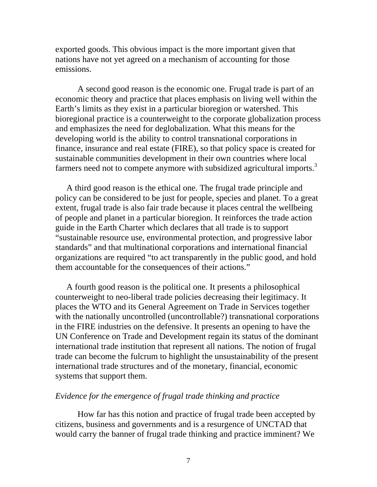exported goods. This obvious impact is the more important given that nations have not yet agreed on a mechanism of accounting for those emissions.

A second good reason is the economic one. Frugal trade is part of an economic theory and practice that places emphasis on living well within the Earth's limits as they exist in a particular bioregion or watershed. This bioregional practice is a counterweight to the corporate globalization process and emphasizes the need for deglobalization. What this means for the developing world is the ability to control transnational corporations in finance, insurance and real estate (FIRE), so that policy space is created for sustainable communities development in their own countries where local farmers need not to compete anymore with subsidized agricultural imports.<sup>3</sup>

A third good reason is the ethical one. The frugal trade principle and policy can be considered to be just for people, species and planet. To a great extent, frugal trade is also fair trade because it places central the wellbeing of people and planet in a particular bioregion. It reinforces the trade action guide in the Earth Charter which declares that all trade is to support "sustainable resource use, environmental protection, and progressive labor standards" and that multinational corporations and international financial organizations are required "to act transparently in the public good, and hold them accountable for the consequences of their actions."

A fourth good reason is the political one. It presents a philosophical counterweight to neo-liberal trade policies decreasing their legitimacy. It places the WTO and its General Agreement on Trade in Services together with the nationally uncontrolled (uncontrollable?) transnational corporations in the FIRE industries on the defensive. It presents an opening to have the UN Conference on Trade and Development regain its status of the dominant international trade institution that represent all nations. The notion of frugal trade can become the fulcrum to highlight the unsustainability of the present international trade structures and of the monetary, financial, economic systems that support them.

# *Evidence for the emergence of frugal trade thinking and practice*

How far has this notion and practice of frugal trade been accepted by citizens, business and governments and is a resurgence of UNCTAD that would carry the banner of frugal trade thinking and practice imminent? We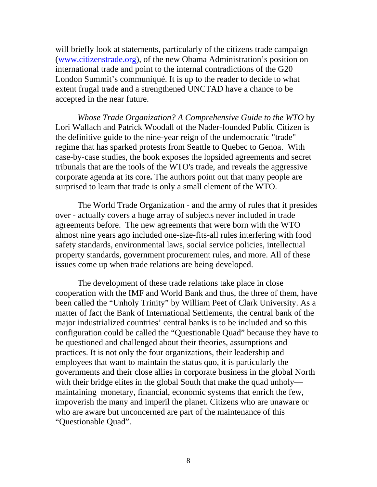will briefly look at statements, particularly of the citizens trade campaign (www.citizenstrade.org), of the new Obama Administration's position on international trade and point to the internal contradictions of the G20 London Summit's communiqué. It is up to the reader to decide to what extent frugal trade and a strengthened UNCTAD have a chance to be accepted in the near future.

*Whose Trade Organization? A Comprehensive Guide to the WTO* by Lori Wallach and Patrick Woodall of the Nader-founded Public Citizen is the definitive guide to the nine-year reign of the undemocratic "trade" regime that has sparked protests from Seattle to Quebec to Genoa. With case-by-case studies, the book exposes the lopsided agreements and secret tribunals that are the tools of the WTO's trade, and reveals the aggressive corporate agenda at its core**.** The authors point out that many people are surprised to learn that trade is only a small element of the WTO.

The World Trade Organization - and the army of rules that it presides over - actually covers a huge array of subjects never included in trade agreements before. The new agreements that were born with the WTO almost nine years ago included one-size-fits-all rules interfering with food safety standards, environmental laws, social service policies, intellectual property standards, government procurement rules, and more. All of these issues come up when trade relations are being developed.

The development of these trade relations take place in close cooperation with the IMF and World Bank and thus, the three of them, have been called the "Unholy Trinity" by William Peet of Clark University. As a matter of fact the Bank of International Settlements, the central bank of the major industrialized countries' central banks is to be included and so this configuration could be called the "Questionable Quad" because they have to be questioned and challenged about their theories, assumptions and practices. It is not only the four organizations, their leadership and employees that want to maintain the status quo, it is particularly the governments and their close allies in corporate business in the global North with their bridge elites in the global South that make the quad unholy maintaining monetary, financial, economic systems that enrich the few, impoverish the many and imperil the planet. Citizens who are unaware or who are aware but unconcerned are part of the maintenance of this "Questionable Quad".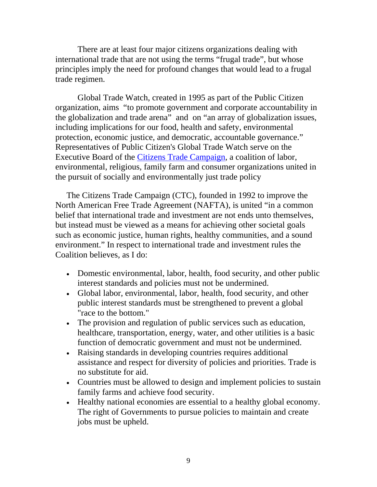There are at least four major citizens organizations dealing with international trade that are not using the terms "frugal trade", but whose principles imply the need for profound changes that would lead to a frugal trade regimen.

Global Trade Watch, created in 1995 as part of the Public Citizen organization, aims "to promote government and corporate accountability in the globalization and trade arena" and on "an array of globalization issues, including implications for our food, health and safety, environmental protection, economic justice, and democratic, accountable governance." Representatives of Public Citizen's Global Trade Watch serve on the Executive Board of the Citizens Trade Campaign, a coalition of labor, environmental, religious, family farm and consumer organizations united in the pursuit of socially and environmentally just trade policy

The Citizens Trade Campaign (CTC), founded in 1992 to improve the North American Free Trade Agreement (NAFTA), is united "in a common belief that international trade and investment are not ends unto themselves, but instead must be viewed as a means for achieving other societal goals such as economic justice, human rights, healthy communities, and a sound environment." In respect to international trade and investment rules the Coalition believes, as I do:

- Domestic environmental, labor, health, food security, and other public interest standards and policies must not be undermined.
- Global labor, environmental, labor, health, food security, and other public interest standards must be strengthened to prevent a global "race to the bottom."
- The provision and regulation of public services such as education, healthcare, transportation, energy, water, and other utilities is a basic function of democratic government and must not be undermined.
- Raising standards in developing countries requires additional assistance and respect for diversity of policies and priorities. Trade is no substitute for aid.
- Countries must be allowed to design and implement policies to sustain family farms and achieve food security.
- Healthy national economies are essential to a healthy global economy. The right of Governments to pursue policies to maintain and create jobs must be upheld.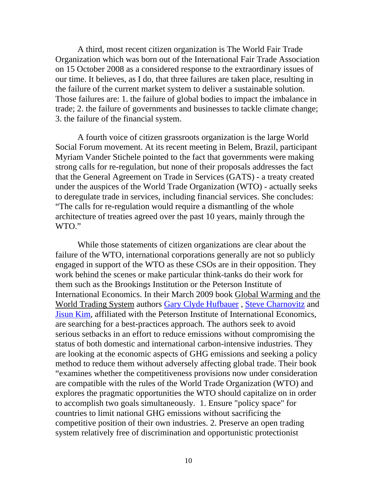A third, most recent citizen organization is The World Fair Trade Organization which was born out of the International Fair Trade Association on 15 October 2008 as a considered response to the extraordinary issues of our time. It believes, as I do, that three failures are taken place, resulting in the failure of the current market system to deliver a sustainable solution. Those failures are: 1. the failure of global bodies to impact the imbalance in trade; 2. the failure of governments and businesses to tackle climate change; 3. the failure of the financial system.

A fourth voice of citizen grassroots organization is the large World Social Forum movement. At its recent meeting in Belem, Brazil, participant Myriam Vander Stichele pointed to the fact that governments were making strong calls for re-regulation, but none of their proposals addresses the fact that the General Agreement on Trade in Services (GATS) - a treaty created under the auspices of the World Trade Organization (WTO) - actually seeks to deregulate trade in services, including financial services. She concludes: "The calls for re-regulation would require a dismantling of the whole architecture of treaties agreed over the past 10 years, mainly through the WTO."

While those statements of citizen organizations are clear about the failure of the WTO, international corporations generally are not so publicly engaged in support of the WTO as these CSOs are in their opposition. They work behind the scenes or make particular think-tanks do their work for them such as the Brookings Institution or the Peterson Institute of International Economics. In their March 2009 book Global Warming and the World Trading System authors Gary Clyde Hufbauer , Steve Charnovitz and Jisun Kim, affiliated with the Peterson Institute of International Economics, are searching for a best-practices approach. The authors seek to avoid serious setbacks in an effort to reduce emissions without compromising the status of both domestic and international carbon-intensive industries. They are looking at the economic aspects of GHG emissions and seeking a policy method to reduce them without adversely affecting global trade. Their book "examines whether the competitiveness provisions now under consideration are compatible with the rules of the World Trade Organization (WTO) and explores the pragmatic opportunities the WTO should capitalize on in order to accomplish two goals simultaneously. 1. Ensure "policy space" for countries to limit national GHG emissions without sacrificing the competitive position of their own industries. 2. Preserve an open trading system relatively free of discrimination and opportunistic protectionist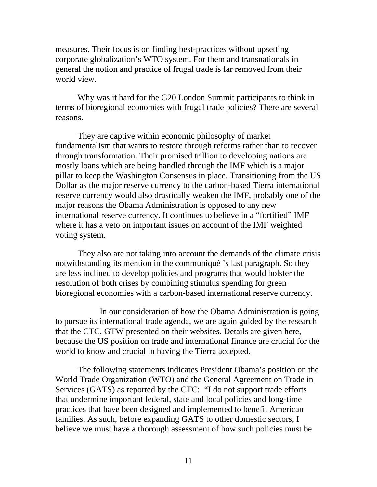measures. Their focus is on finding best-practices without upsetting corporate globalization's WTO system. For them and transnationals in general the notion and practice of frugal trade is far removed from their world view.

 Why was it hard for the G20 London Summit participants to think in terms of bioregional economies with frugal trade policies? There are several reasons.

They are captive within economic philosophy of market fundamentalism that wants to restore through reforms rather than to recover through transformation. Their promised trillion to developing nations are mostly loans which are being handled through the IMF which is a major pillar to keep the Washington Consensus in place. Transitioning from the US Dollar as the major reserve currency to the carbon-based Tierra international reserve currency would also drastically weaken the IMF, probably one of the major reasons the Obama Administration is opposed to any new international reserve currency. It continues to believe in a "fortified" IMF where it has a veto on important issues on account of the IMF weighted voting system.

They also are not taking into account the demands of the climate crisis notwithstanding its mention in the communiqué 's last paragraph. So they are less inclined to develop policies and programs that would bolster the resolution of both crises by combining stimulus spending for green bioregional economies with a carbon-based international reserve currency.

 In our consideration of how the Obama Administration is going to pursue its international trade agenda, we are again guided by the research that the CTC, GTW presented on their websites. Details are given here, because the US position on trade and international finance are crucial for the world to know and crucial in having the Tierra accepted.

The following statements indicates President Obama's position on the World Trade Organization (WTO) and the General Agreement on Trade in Services (GATS) as reported by the CTC: "I do not support trade efforts that undermine important federal, state and local policies and long-time practices that have been designed and implemented to benefit American families. As such, before expanding GATS to other domestic sectors, I believe we must have a thorough assessment of how such policies must be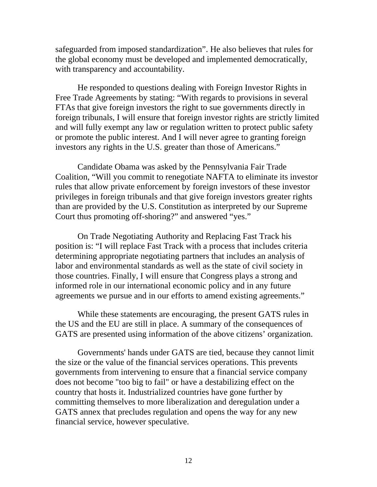safeguarded from imposed standardization". He also believes that rules for the global economy must be developed and implemented democratically, with transparency and accountability.

He responded to questions dealing with Foreign Investor Rights in Free Trade Agreements by stating: "With regards to provisions in several FTAs that give foreign investors the right to sue governments directly in foreign tribunals, I will ensure that foreign investor rights are strictly limited and will fully exempt any law or regulation written to protect public safety or promote the public interest. And I will never agree to granting foreign investors any rights in the U.S. greater than those of Americans."

Candidate Obama was asked by the Pennsylvania Fair Trade Coalition, "Will you commit to renegotiate NAFTA to eliminate its investor rules that allow private enforcement by foreign investors of these investor privileges in foreign tribunals and that give foreign investors greater rights than are provided by the U.S. Constitution as interpreted by our Supreme Court thus promoting off-shoring?" and answered "yes."

On Trade Negotiating Authority and Replacing Fast Track his position is: "I will replace Fast Track with a process that includes criteria determining appropriate negotiating partners that includes an analysis of labor and environmental standards as well as the state of civil society in those countries. Finally, I will ensure that Congress plays a strong and informed role in our international economic policy and in any future agreements we pursue and in our efforts to amend existing agreements."

 While these statements are encouraging, the present GATS rules in the US and the EU are still in place. A summary of the consequences of GATS are presented using information of the above citizens' organization.

Governments' hands under GATS are tied, because they cannot limit the size or the value of the financial services operations. This prevents governments from intervening to ensure that a financial service company does not become "too big to fail" or have a destabilizing effect on the country that hosts it. Industrialized countries have gone further by committing themselves to more liberalization and deregulation under a GATS annex that precludes regulation and opens the way for any new financial service, however speculative.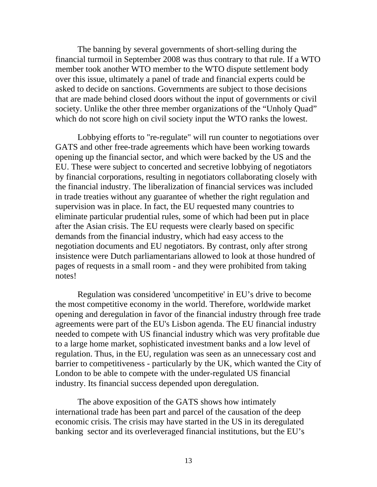The banning by several governments of short-selling during the financial turmoil in September 2008 was thus contrary to that rule. If a WTO member took another WTO member to the WTO dispute settlement body over this issue, ultimately a panel of trade and financial experts could be asked to decide on sanctions. Governments are subject to those decisions that are made behind closed doors without the input of governments or civil society. Unlike the other three member organizations of the "Unholy Quad" which do not score high on civil society input the WTO ranks the lowest.

Lobbying efforts to "re-regulate" will run counter to negotiations over GATS and other free-trade agreements which have been working towards opening up the financial sector, and which were backed by the US and the EU. These were subject to concerted and secretive lobbying of negotiators by financial corporations, resulting in negotiators collaborating closely with the financial industry. The liberalization of financial services was included in trade treaties without any guarantee of whether the right regulation and supervision was in place. In fact, the EU requested many countries to eliminate particular prudential rules, some of which had been put in place after the Asian crisis. The EU requests were clearly based on specific demands from the financial industry, which had easy access to the negotiation documents and EU negotiators. By contrast, only after strong insistence were Dutch parliamentarians allowed to look at those hundred of pages of requests in a small room - and they were prohibited from taking notes!

Regulation was considered 'uncompetitive' in EU's drive to become the most competitive economy in the world. Therefore, worldwide market opening and deregulation in favor of the financial industry through free trade agreements were part of the EU's Lisbon agenda. The EU financial industry needed to compete with US financial industry which was very profitable due to a large home market, sophisticated investment banks and a low level of regulation. Thus, in the EU, regulation was seen as an unnecessary cost and barrier to competitiveness - particularly by the UK, which wanted the City of London to be able to compete with the under-regulated US financial industry. Its financial success depended upon deregulation.

 The above exposition of the GATS shows how intimately international trade has been part and parcel of the causation of the deep economic crisis. The crisis may have started in the US in its deregulated banking sector and its overleveraged financial institutions, but the EU's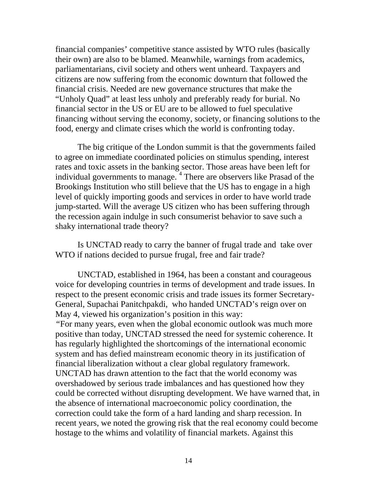financial companies' competitive stance assisted by WTO rules (basically their own) are also to be blamed. Meanwhile, warnings from academics, parliamentarians, civil society and others went unheard. Taxpayers and citizens are now suffering from the economic downturn that followed the financial crisis. Needed are new governance structures that make the "Unholy Quad" at least less unholy and preferably ready for burial. No financial sector in the US or EU are to be allowed to fuel speculative financing without serving the economy, society, or financing solutions to the food, energy and climate crises which the world is confronting today.

The big critique of the London summit is that the governments failed to agree on immediate coordinated policies on stimulus spending, interest rates and toxic assets in the banking sector. Those areas have been left for individual governments to manage. <sup>4</sup> There are observers like Prasad of the Brookings Institution who still believe that the US has to engage in a high level of quickly importing goods and services in order to have world trade jump-started. Will the average US citizen who has been suffering through the recession again indulge in such consumerist behavior to save such a shaky international trade theory?

Is UNCTAD ready to carry the banner of frugal trade and take over WTO if nations decided to pursue frugal, free and fair trade?

UNCTAD, established in 1964, has been a constant and courageous voice for developing countries in terms of development and trade issues. In respect to the present economic crisis and trade issues its former Secretary-General, Supachai Panitchpakdi, who handed UNCTAD's reign over on May 4, viewed his organization's position in this way: *"*For many years, even when the global economic outlook was much more positive than today, UNCTAD stressed the need for systemic coherence. It has regularly highlighted the shortcomings of the international economic system and has defied mainstream economic theory in its justification of financial liberalization without a clear global regulatory framework. UNCTAD has drawn attention to the fact that the world economy was overshadowed by serious trade imbalances and has questioned how they could be corrected without disrupting development. We have warned that, in the absence of international macroeconomic policy coordination, the correction could take the form of a hard landing and sharp recession. In recent years, we noted the growing risk that the real economy could become hostage to the whims and volatility of financial markets. Against this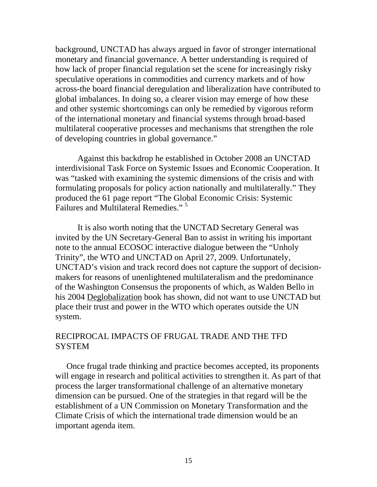background, UNCTAD has always argued in favor of stronger international monetary and financial governance. A better understanding is required of how lack of proper financial regulation set the scene for increasingly risky speculative operations in commodities and currency markets and of how across-the board financial deregulation and liberalization have contributed to global imbalances. In doing so, a clearer vision may emerge of how these and other systemic shortcomings can only be remedied by vigorous reform of the international monetary and financial systems through broad-based multilateral cooperative processes and mechanisms that strengthen the role of developing countries in global governance."

 Against this backdrop he established in October 2008 an UNCTAD interdivisional Task Force on Systemic Issues and Economic Cooperation. It was "tasked with examining the systemic dimensions of the crisis and with formulating proposals for policy action nationally and multilaterally." They produced the 61 page report "The Global Economic Crisis: Systemic Failures and Multilateral Remedies."<sup>5</sup>

It is also worth noting that the UNCTAD Secretary General was invited by the UN Secretary-General Ban to assist in writing his important note to the annual ECOSOC interactive dialogue between the "Unholy Trinity", the WTO and UNCTAD on April 27, 2009. Unfortunately, UNCTAD's vision and track record does not capture the support of decisionmakers for reasons of unenlightened multilateralism and the predominance of the Washington Consensus the proponents of which, as Walden Bello in his 2004 Deglobalization book has shown, did not want to use UNCTAD but place their trust and power in the WTO which operates outside the UN system.

## RECIPROCAL IMPACTS OF FRUGAL TRADE AND THE TFD **SYSTEM**

Once frugal trade thinking and practice becomes accepted, its proponents will engage in research and political activities to strengthen it. As part of that process the larger transformational challenge of an alternative monetary dimension can be pursued. One of the strategies in that regard will be the establishment of a UN Commission on Monetary Transformation and the Climate Crisis of which the international trade dimension would be an important agenda item.